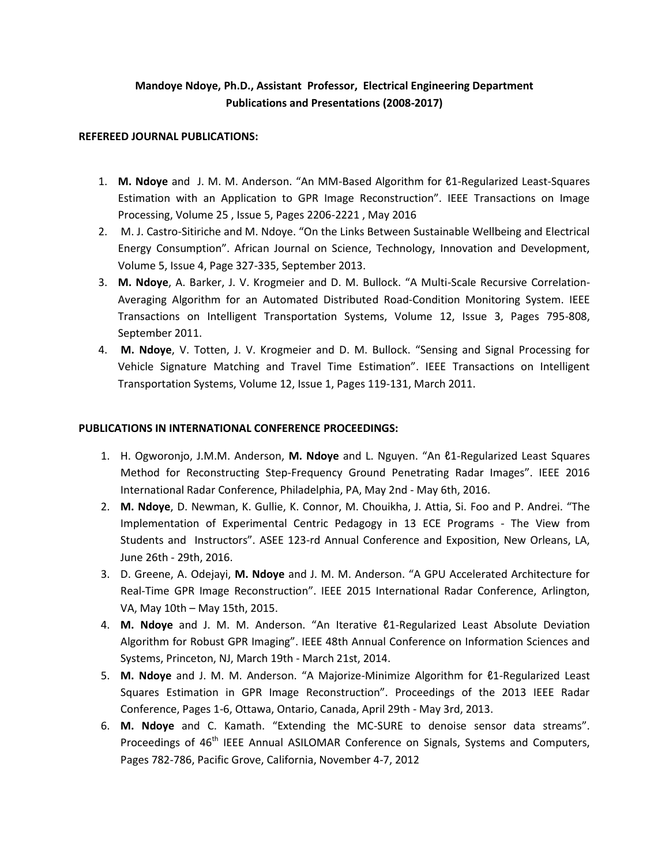## **Mandoye Ndoye, Ph.D., Assistant Professor, Electrical Engineering Department Publications and Presentations (2008-2017)**

## **REFEREED JOURNAL PUBLICATIONS:**

- 1. **M. Ndoye** and J. M. M. Anderson. "An MM-Based Algorithm for ℓ1-Regularized Least-Squares Estimation with an Application to GPR Image Reconstruction". IEEE Transactions on Image Processing, Volume 25 , Issue 5, Pages 2206-2221 , May 2016
- 2. M. J. Castro-Sitiriche and M. Ndoye. "On the Links Between Sustainable Wellbeing and Electrical Energy Consumption". African Journal on Science, Technology, Innovation and Development, Volume 5, Issue 4, Page 327-335, September 2013.
- 3. **M. Ndoye**, A. Barker, J. V. Krogmeier and D. M. Bullock. "A Multi-Scale Recursive Correlation-Averaging Algorithm for an Automated Distributed Road-Condition Monitoring System. IEEE Transactions on Intelligent Transportation Systems, Volume 12, Issue 3, Pages 795-808, September 2011.
- 4. **M. Ndoye**, V. Totten, J. V. Krogmeier and D. M. Bullock. "Sensing and Signal Processing for Vehicle Signature Matching and Travel Time Estimation". IEEE Transactions on Intelligent Transportation Systems, Volume 12, Issue 1, Pages 119-131, March 2011.

## **PUBLICATIONS IN INTERNATIONAL CONFERENCE PROCEEDINGS:**

- 1. H. Ogworonjo, J.M.M. Anderson, **M. Ndoye** and L. Nguyen. "An ℓ1-Regularized Least Squares Method for Reconstructing Step-Frequency Ground Penetrating Radar Images". IEEE 2016 International Radar Conference, Philadelphia, PA, May 2nd - May 6th, 2016.
- 2. **M. Ndoye**, D. Newman, K. Gullie, K. Connor, M. Chouikha, J. Attia, Si. Foo and P. Andrei. "The Implementation of Experimental Centric Pedagogy in 13 ECE Programs - The View from Students and Instructors". ASEE 123-rd Annual Conference and Exposition, New Orleans, LA, June 26th - 29th, 2016.
- 3. D. Greene, A. Odejayi, **M. Ndoye** and J. M. M. Anderson. "A GPU Accelerated Architecture for Real-Time GPR Image Reconstruction". IEEE 2015 International Radar Conference, Arlington, VA, May 10th – May 15th, 2015.
- 4. **M. Ndoye** and J. M. M. Anderson. "An Iterative ℓ1-Regularized Least Absolute Deviation Algorithm for Robust GPR Imaging". IEEE 48th Annual Conference on Information Sciences and Systems, Princeton, NJ, March 19th - March 21st, 2014.
- 5. **M. Ndoye** and J. M. M. Anderson. "A Majorize-Minimize Algorithm for ℓ1-Regularized Least Squares Estimation in GPR Image Reconstruction". Proceedings of the 2013 IEEE Radar Conference, Pages 1-6, Ottawa, Ontario, Canada, April 29th - May 3rd, 2013.
- 6. **M. Ndoye** and C. Kamath. "Extending the MC-SURE to denoise sensor data streams". Proceedings of 46<sup>th</sup> IEEE Annual ASILOMAR Conference on Signals, Systems and Computers, Pages 782-786, Pacific Grove, California, November 4-7, 2012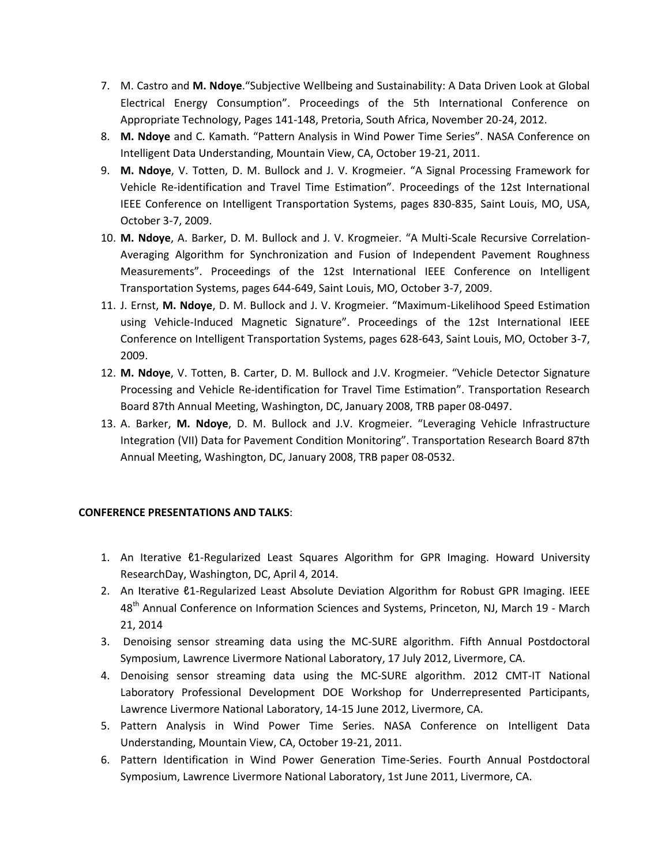- 7. M. Castro and **M. Ndoye**."Subjective Wellbeing and Sustainability: A Data Driven Look at Global Electrical Energy Consumption". Proceedings of the 5th International Conference on Appropriate Technology, Pages 141-148, Pretoria, South Africa, November 20-24, 2012.
- 8. **M. Ndoye** and C. Kamath. "Pattern Analysis in Wind Power Time Series". NASA Conference on Intelligent Data Understanding, Mountain View, CA, October 19-21, 2011.
- 9. **M. Ndoye**, V. Totten, D. M. Bullock and J. V. Krogmeier. "A Signal Processing Framework for Vehicle Re-identification and Travel Time Estimation". Proceedings of the 12st International IEEE Conference on Intelligent Transportation Systems, pages 830-835, Saint Louis, MO, USA, October 3-7, 2009.
- 10. **M. Ndoye**, A. Barker, D. M. Bullock and J. V. Krogmeier. "A Multi-Scale Recursive Correlation-Averaging Algorithm for Synchronization and Fusion of Independent Pavement Roughness Measurements". Proceedings of the 12st International IEEE Conference on Intelligent Transportation Systems, pages 644-649, Saint Louis, MO, October 3-7, 2009.
- 11. J. Ernst, **M. Ndoye**, D. M. Bullock and J. V. Krogmeier. "Maximum-Likelihood Speed Estimation using Vehicle-Induced Magnetic Signature". Proceedings of the 12st International IEEE Conference on Intelligent Transportation Systems, pages 628-643, Saint Louis, MO, October 3-7, 2009.
- 12. **M. Ndoye**, V. Totten, B. Carter, D. M. Bullock and J.V. Krogmeier. "Vehicle Detector Signature Processing and Vehicle Re-identification for Travel Time Estimation". Transportation Research Board 87th Annual Meeting, Washington, DC, January 2008, TRB paper 08-0497.
- 13. A. Barker, **M. Ndoye**, D. M. Bullock and J.V. Krogmeier. "Leveraging Vehicle Infrastructure Integration (VII) Data for Pavement Condition Monitoring". Transportation Research Board 87th Annual Meeting, Washington, DC, January 2008, TRB paper 08-0532.

## **CONFERENCE PRESENTATIONS AND TALKS**:

- 1. An Iterative  $\ell$ 1-Regularized Least Squares Algorithm for GPR Imaging. Howard University ResearchDay, Washington, DC, April 4, 2014.
- 2. An Iterative ℓ1-Regularized Least Absolute Deviation Algorithm for Robust GPR Imaging. IEEE 48<sup>th</sup> Annual Conference on Information Sciences and Systems, Princeton, NJ, March 19 - March 21, 2014
- 3. Denoising sensor streaming data using the MC-SURE algorithm. Fifth Annual Postdoctoral Symposium, Lawrence Livermore National Laboratory, 17 July 2012, Livermore, CA.
- 4. Denoising sensor streaming data using the MC-SURE algorithm. 2012 CMT-IT National Laboratory Professional Development DOE Workshop for Underrepresented Participants, Lawrence Livermore National Laboratory, 14-15 June 2012, Livermore, CA.
- 5. Pattern Analysis in Wind Power Time Series. NASA Conference on Intelligent Data Understanding, Mountain View, CA, October 19-21, 2011.
- 6. Pattern Identification in Wind Power Generation Time-Series. Fourth Annual Postdoctoral Symposium, Lawrence Livermore National Laboratory, 1st June 2011, Livermore, CA.